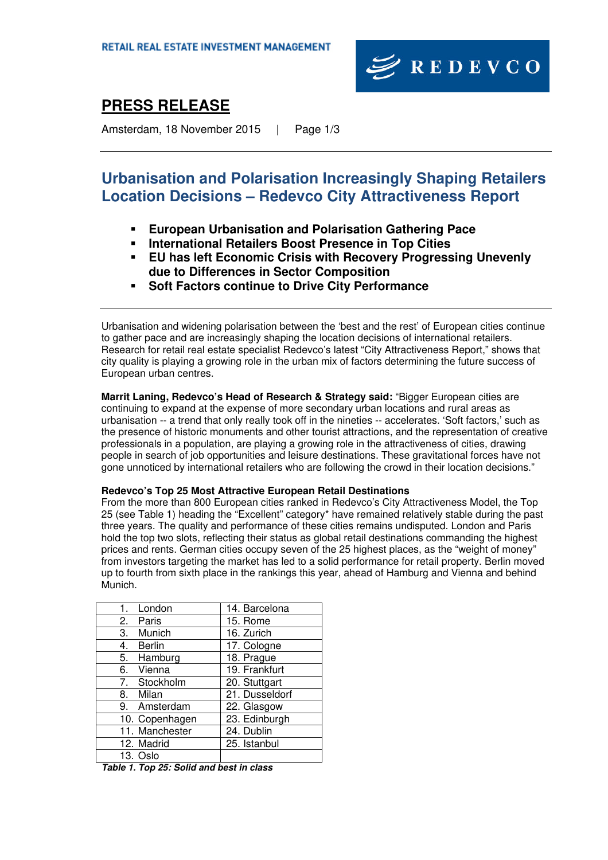

# **PRESS RELEASE**

Amsterdam, 18 November 2015 | Page 1/3

# **Urbanisation and Polarisation Increasingly Shaping Retailers Location Decisions – Redevco City Attractiveness Report**

- **European Urbanisation and Polarisation Gathering Pace**
- **International Retailers Boost Presence in Top Cities**
- **EU has left Economic Crisis with Recovery Progressing Unevenly due to Differences in Sector Composition**
- **Soft Factors continue to Drive City Performance**

Urbanisation and widening polarisation between the 'best and the rest' of European cities continue to gather pace and are increasingly shaping the location decisions of international retailers. Research for retail real estate specialist Redevco's latest "City Attractiveness Report," shows that city quality is playing a growing role in the urban mix of factors determining the future success of European urban centres.

**Marrit Laning, Redevco's Head of Research & Strategy said:** "Bigger European cities are continuing to expand at the expense of more secondary urban locations and rural areas as urbanisation -- a trend that only really took off in the nineties -- accelerates. 'Soft factors,' such as the presence of historic monuments and other tourist attractions, and the representation of creative professionals in a population, are playing a growing role in the attractiveness of cities, drawing people in search of job opportunities and leisure destinations. These gravitational forces have not gone unnoticed by international retailers who are following the crowd in their location decisions."

### **Redevco's Top 25 Most Attractive European Retail Destinations**

From the more than 800 European cities ranked in Redevco's City Attractiveness Model, the Top 25 (see Table 1) heading the "Excellent" category\* have remained relatively stable during the past three years. The quality and performance of these cities remains undisputed. London and Paris hold the top two slots, reflecting their status as global retail destinations commanding the highest prices and rents. German cities occupy seven of the 25 highest places, as the "weight of money" from investors targeting the market has led to a solid performance for retail property. Berlin moved up to fourth from sixth place in the rankings this year, ahead of Hamburg and Vienna and behind Munich.

| 1. London           | 14. Barcelona  |
|---------------------|----------------|
| 2. Paris            | 15. Rome       |
| Munich<br>3.        | 16. Zurich     |
| <b>Berlin</b><br>4. | 17. Cologne    |
| 5. Hamburg          | 18. Prague     |
| 6. Vienna           | 19. Frankfurt  |
| 7. Stockholm        | 20. Stuttgart  |
| 8.<br>Milan         | 21. Dusseldorf |
| 9. Amsterdam        | 22. Glasgow    |
| 10. Copenhagen      | 23. Edinburgh  |
| 11. Manchester      | 24. Dublin     |
| 12. Madrid          | 25. Istanbul   |
| 13. Oslo            |                |

*Table 1. Top 25: Solid and best in class*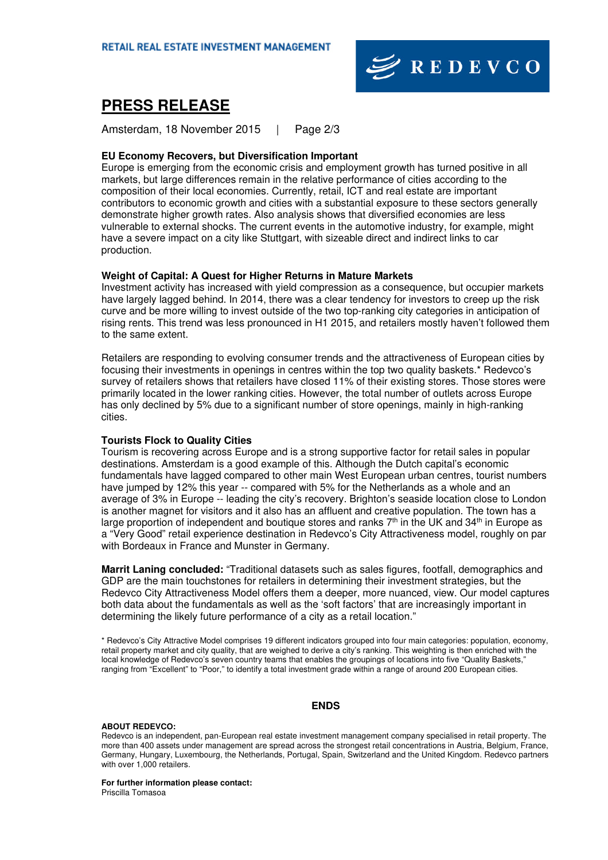

## **PRESS RELEASE**

Amsterdam, 18 November 2015 | Page 2/3

#### **EU Economy Recovers, but Diversification Important**

Europe is emerging from the economic crisis and employment growth has turned positive in all markets, but large differences remain in the relative performance of cities according to the composition of their local economies. Currently, retail, ICT and real estate are important contributors to economic growth and cities with a substantial exposure to these sectors generally demonstrate higher growth rates. Also analysis shows that diversified economies are less vulnerable to external shocks. The current events in the automotive industry, for example, might have a severe impact on a city like Stuttgart, with sizeable direct and indirect links to car production.

#### **Weight of Capital: A Quest for Higher Returns in Mature Markets**

Investment activity has increased with yield compression as a consequence, but occupier markets have largely lagged behind. In 2014, there was a clear tendency for investors to creep up the risk curve and be more willing to invest outside of the two top-ranking city categories in anticipation of rising rents. This trend was less pronounced in H1 2015, and retailers mostly haven't followed them to the same extent.

Retailers are responding to evolving consumer trends and the attractiveness of European cities by focusing their investments in openings in centres within the top two quality baskets.\* Redevco's survey of retailers shows that retailers have closed 11% of their existing stores. Those stores were primarily located in the lower ranking cities. However, the total number of outlets across Europe has only declined by 5% due to a significant number of store openings, mainly in high-ranking cities.

#### **Tourists Flock to Quality Cities**

Tourism is recovering across Europe and is a strong supportive factor for retail sales in popular destinations. Amsterdam is a good example of this. Although the Dutch capital's economic fundamentals have lagged compared to other main West European urban centres, tourist numbers have jumped by 12% this year -- compared with 5% for the Netherlands as a whole and an average of 3% in Europe -- leading the city's recovery. Brighton's seaside location close to London is another magnet for visitors and it also has an affluent and creative population. The town has a large proportion of independent and boutique stores and ranks  $7<sup>th</sup>$  in the UK and 34<sup>th</sup> in Europe as a "Very Good" retail experience destination in Redevco's City Attractiveness model, roughly on par with Bordeaux in France and Munster in Germany.

**Marrit Laning concluded:** "Traditional datasets such as sales figures, footfall, demographics and GDP are the main touchstones for retailers in determining their investment strategies, but the Redevco City Attractiveness Model offers them a deeper, more nuanced, view. Our model captures both data about the fundamentals as well as the 'soft factors' that are increasingly important in determining the likely future performance of a city as a retail location."

\* Redevco's City Attractive Model comprises 19 different indicators grouped into four main categories: population, economy, retail property market and city quality, that are weighed to derive a city's ranking. This weighting is then enriched with the local knowledge of Redevco's seven country teams that enables the groupings of locations into five "Quality Baskets," ranging from "Excellent" to "Poor," to identify a total investment grade within a range of around 200 European cities.

#### **ENDS**

#### **ABOUT REDEVCO:**

Redevco is an independent, pan-European real estate investment management company specialised in retail property. The more than 400 assets under management are spread across the strongest retail concentrations in Austria, Belgium, France, Germany, Hungary, Luxembourg, the Netherlands, Portugal, Spain, Switzerland and the United Kingdom. Redevco partners with over 1,000 retailers.

**For further information please contact:**  Priscilla Tomasoa